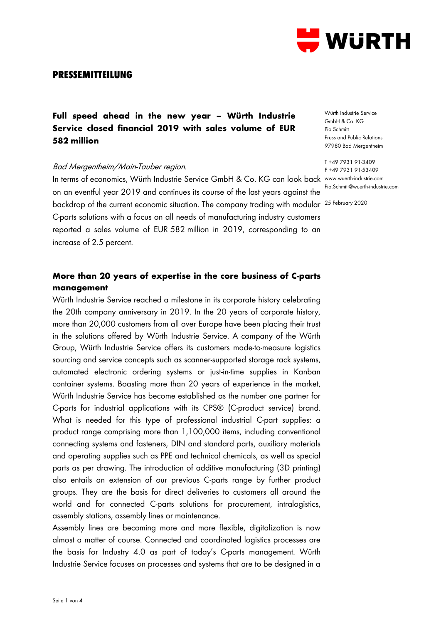

## **PRESSEMITTEILUNG**

# **Full speed ahead in the new year – Würth Industrie Service closed financial 2019 with sales volume of EUR 582 million**

### Bad Mergentheim/Main-Tauber region.

In terms of economics, Würth Industrie Service GmbH & Co. KG can look back www.wuerth-industrie.com on an eventful year 2019 and continues its course of the last years against the backdrop of the current economic situation. The company trading with modular <sup>25 February 2020</sup> C-parts solutions with a focus on all needs of manufacturing industry customers reported a sales volume of EUR 582 million in 2019, corresponding to an increase of 2.5 percent.

## **More than 20 years of expertise in the core business of C-parts management**

Würth Industrie Service reached a milestone in its corporate history celebrating the 20th company anniversary in 2019. In the 20 years of corporate history, more than 20,000 customers from all over Europe have been placing their trust in the solutions offered by Würth Industrie Service. A company of the Würth Group, Würth Industrie Service offers its customers made-to-measure logistics sourcing and service concepts such as scanner-supported storage rack systems, automated electronic ordering systems or just-in-time supplies in Kanban container systems. Boasting more than 20 years of experience in the market, Würth Industrie Service has become established as the number one partner for C-parts for industrial applications with its CPS® (C-product service) brand. What is needed for this type of professional industrial C-part supplies: a product range comprising more than 1,100,000 items, including conventional connecting systems and fasteners, DIN and standard parts, auxiliary materials and operating supplies such as PPE and technical chemicals, as well as special parts as per drawing. The introduction of additive manufacturing (3D printing) also entails an extension of our previous C-parts range by further product groups. They are the basis for direct deliveries to customers all around the world and for connected C-parts solutions for procurement, intralogistics, assembly stations, assembly lines or maintenance.

Assembly lines are becoming more and more flexible, digitalization is now almost a matter of course. Connected and coordinated logistics processes are the basis for Industry 4.0 as part of today's C-parts management. Würth Industrie Service focuses on processes and systems that are to be designed in a

Würth Industrie Service GmbH & Co. KG Pia Schmitt Press and Public Relations 97980 Bad Mergentheim

T +49 7931 91-3409 F +49 7931 91-53409 Pia.Schmitt@wuerth-industrie.com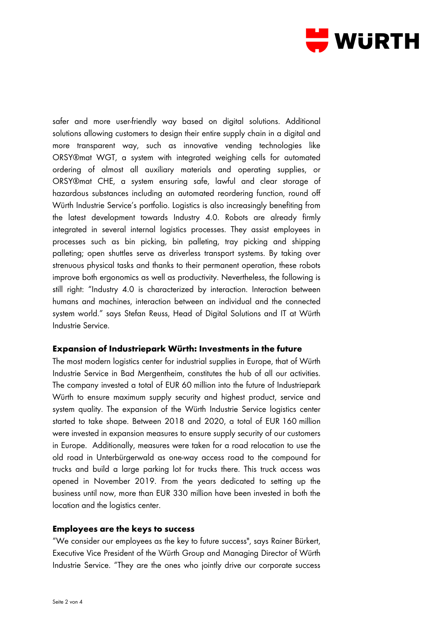

safer and more user-friendly way based on digital solutions. Additional solutions allowing customers to design their entire supply chain in a digital and more transparent way, such as innovative vending technologies like ORSY®mat WGT, a system with integrated weighing cells for automated ordering of almost all auxiliary materials and operating supplies, or ORSY®mat CHE, a system ensuring safe, lawful and clear storage of hazardous substances including an automated reordering function, round off Würth Industrie Service's portfolio. Logistics is also increasingly benefiting from the latest development towards Industry 4.0. Robots are already firmly integrated in several internal logistics processes. They assist employees in processes such as bin picking, bin palleting, tray picking and shipping palleting; open shuttles serve as driverless transport systems. By taking over strenuous physical tasks and thanks to their permanent operation, these robots improve both ergonomics as well as productivity. Nevertheless, the following is still right: "Industry 4.0 is characterized by interaction. Interaction between humans and machines, interaction between an individual and the connected system world." says Stefan Reuss, Head of Digital Solutions and IT at Würth Industrie Service.

#### **Expansion of Industriepark Würth: Investments in the future**

The most modern logistics center for industrial supplies in Europe, that of Würth Industrie Service in Bad Mergentheim, constitutes the hub of all our activities. The company invested a total of EUR 60 million into the future of Industriepark Würth to ensure maximum supply security and highest product, service and system quality. The expansion of the Würth Industrie Service logistics center started to take shape. Between 2018 and 2020, a total of EUR 160 million were invested in expansion measures to ensure supply security of our customers in Europe. Additionally, measures were taken for a road relocation to use the old road in Unterbürgerwald as one-way access road to the compound for trucks and build a large parking lot for trucks there. This truck access was opened in November 2019. From the years dedicated to setting up the business until now, more than EUR 330 million have been invested in both the location and the logistics center.

#### **Employees are the keys to success**

"We consider our employees as the key to future success", says Rainer Bürkert, Executive Vice President of the Würth Group and Managing Director of Würth Industrie Service. "They are the ones who jointly drive our corporate success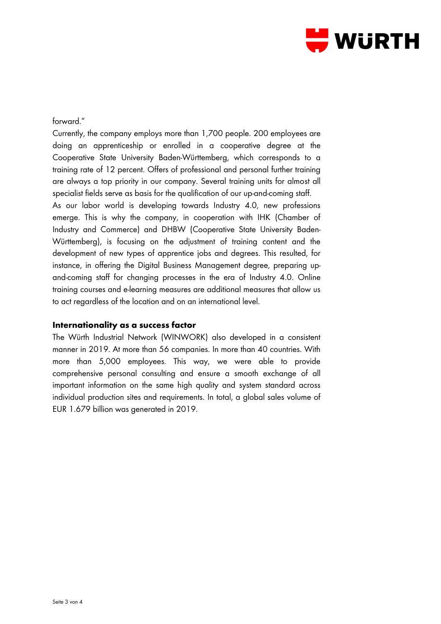

### forward."

Currently, the company employs more than 1,700 people. 200 employees are doing an apprenticeship or enrolled in a cooperative degree at the Cooperative State University Baden-Württemberg, which corresponds to a training rate of 12 percent. Offers of professional and personal further training are always a top priority in our company. Several training units for almost all specialist fields serve as basis for the qualification of our up-and-coming staff.

As our labor world is developing towards Industry 4.0, new professions emerge. This is why the company, in cooperation with IHK (Chamber of Industry and Commerce) and DHBW (Cooperative State University Baden-Württemberg), is focusing on the adjustment of training content and the development of new types of apprentice jobs and degrees. This resulted, for instance, in offering the Digital Business Management degree, preparing upand-coming staff for changing processes in the era of Industry 4.0. Online training courses and e-learning measures are additional measures that allow us to act regardless of the location and on an international level.

#### **Internationality as a success factor**

The Würth Industrial Network (WINWORK) also developed in a consistent manner in 2019. At more than 56 companies. In more than 40 countries. With more than 5,000 employees. This way, we were able to provide comprehensive personal consulting and ensure a smooth exchange of all important information on the same high quality and system standard across individual production sites and requirements. In total, a global sales volume of EUR 1.679 billion was generated in 2019.